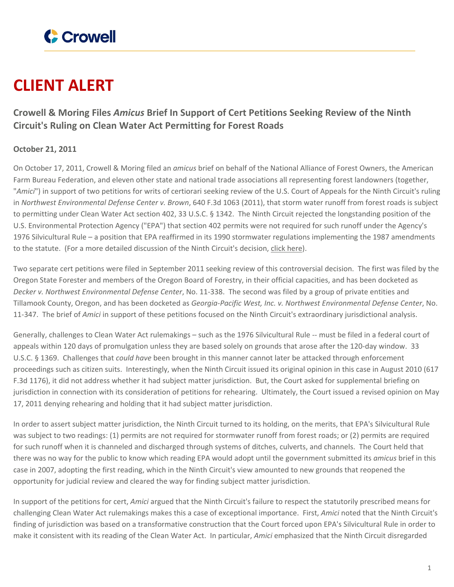

## **CLIENT ALERT**

## **Crowell & Moring Files** *Amicus* **Brief In Support of Cert Petitions Seeking Review of the Ninth Circuit's Ruling on Clean Water Act Permitting for Forest Roads**

## **October 21, 2011**

On October 17, 2011, Crowell & Moring filed an *amicus* brief on behalf of the National Alliance of Forest Owners, the American Farm Bureau Federation, and eleven other state and national trade associations all representing forest landowners (together, "*Amici*") in support of two petitions for writs of certiorari seeking review of the U.S. Court of Appeals for the Ninth Circuit's ruling in *Northwest Environmental Defense Center v. Brown*, 640 F.3d 1063 (2011), that storm water runoff from forest roads is subject to permitting under Clean Water Act section 402, 33 U.S.C. § 1342. The Ninth Circuit rejected the longstanding position of the U.S. Environmental Protection Agency ("EPA") that section 402 permits were not required for such runoff under the Agency's 1976 Silvicultural Rule – a position that EPA reaffirmed in its 1990 stormwater regulations implementing the 1987 amendments to the statute. (For a more detailed discussion of the Ninth Circuit's decision, click [here\)](http://www.crowell.com/Practices/Environment-Natural-Resources/alerts-newsletters/1358852).

Two separate cert petitions were filed in September 2011 seeking review of this controversial decision. The first was filed by the Oregon State Forester and members of the Oregon Board of Forestry, in their official capacities, and has been docketed as *Decker v. Northwest Environmental Defense Center*, No. 11-338. The second was filed by a group of private entities and Tillamook County, Oregon, and has been docketed as *Georgia-Pacific West, Inc. v. Northwest Environmental Defense Center*, No. 11-347. The brief of *Amici* in support of these petitions focused on the Ninth Circuit's extraordinary jurisdictional analysis.

Generally, challenges to Clean Water Act rulemakings – such as the 1976 Silvicultural Rule -- must be filed in a federal court of appeals within 120 days of promulgation unless they are based solely on grounds that arose after the 120-day window. 33 U.S.C. § 1369. Challenges that *could have* been brought in this manner cannot later be attacked through enforcement proceedings such as citizen suits. Interestingly, when the Ninth Circuit issued its original opinion in this case in August 2010 (617 F.3d 1176), it did not address whether it had subject matter jurisdiction. But, the Court asked for supplemental briefing on jurisdiction in connection with its consideration of petitions for rehearing. Ultimately, the Court issued a revised opinion on May 17, 2011 denying rehearing and holding that it had subject matter jurisdiction.

In order to assert subject matter jurisdiction, the Ninth Circuit turned to its holding, on the merits, that EPA's Silvicultural Rule was subject to two readings: (1) permits are not required for stormwater runoff from forest roads; or (2) permits are required for such runoff when it is channeled and discharged through systems of ditches, culverts, and channels. The Court held that there was no way for the public to know which reading EPA would adopt until the government submitted its *amicus* brief in this case in 2007, adopting the first reading, which in the Ninth Circuit's view amounted to new grounds that reopened the opportunity for judicial review and cleared the way for finding subject matter jurisdiction.

In support of the petitions for cert, *Amici* argued that the Ninth Circuit's failure to respect the statutorily prescribed means for challenging Clean Water Act rulemakings makes this a case of exceptional importance. First, *Amici* noted that the Ninth Circuit's finding of jurisdiction was based on a transformative construction that the Court forced upon EPA's Silvicultural Rule in order to make it consistent with its reading of the Clean Water Act. In particular, *Amici* emphasized that the Ninth Circuit disregarded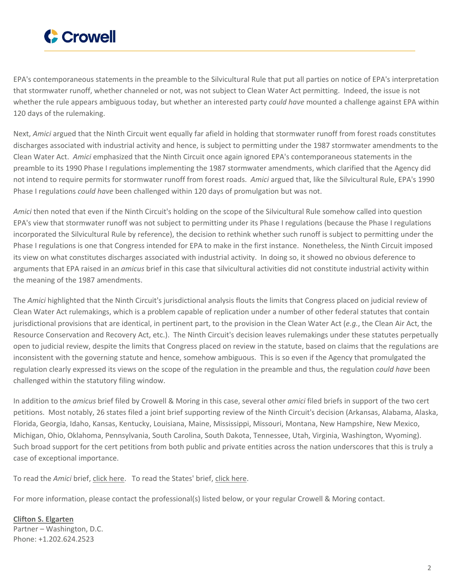

EPA's contemporaneous statements in the preamble to the Silvicultural Rule that put all parties on notice of EPA's interpretation that stormwater runoff, whether channeled or not, was not subject to Clean Water Act permitting. Indeed, the issue is not whether the rule appears ambiguous today, but whether an interested party *could have* mounted a challenge against EPA within 120 days of the rulemaking.

Next, *Amici* argued that the Ninth Circuit went equally far afield in holding that stormwater runoff from forest roads constitutes discharges associated with industrial activity and hence, is subject to permitting under the 1987 stormwater amendments to the Clean Water Act. *Amici* emphasized that the Ninth Circuit once again ignored EPA's contemporaneous statements in the preamble to its 1990 Phase I regulations implementing the 1987 stormwater amendments, which clarified that the Agency did not intend to require permits for stormwater runoff from forest roads. *Amici* argued that, like the Silvicultural Rule, EPA's 1990 Phase I regulations *could have* been challenged within 120 days of promulgation but was not.

*Amici* then noted that even if the Ninth Circuit's holding on the scope of the Silvicultural Rule somehow called into question EPA's view that stormwater runoff was not subject to permitting under its Phase I regulations (because the Phase I regulations incorporated the Silvicultural Rule by reference), the decision to rethink whether such runoff is subject to permitting under the Phase I regulations is one that Congress intended for EPA to make in the first instance. Nonetheless, the Ninth Circuit imposed its view on what constitutes discharges associated with industrial activity. In doing so, it showed no obvious deference to arguments that EPA raised in an *amicus* brief in this case that silvicultural activities did not constitute industrial activity within the meaning of the 1987 amendments.

The *Amici* highlighted that the Ninth Circuit's jurisdictional analysis flouts the limits that Congress placed on judicial review of Clean Water Act rulemakings, which is a problem capable of replication under a number of other federal statutes that contain jurisdictional provisions that are identical, in pertinent part, to the provision in the Clean Water Act (*e.g.*, the Clean Air Act, the Resource Conservation and Recovery Act, etc.). The Ninth Circuit's decision leaves rulemakings under these statutes perpetually open to judicial review, despite the limits that Congress placed on review in the statute, based on claims that the regulations are inconsistent with the governing statute and hence, somehow ambiguous. This is so even if the Agency that promulgated the regulation clearly expressed its views on the scope of the regulation in the preamble and thus, the regulation *could have* been challenged within the statutory filing window.

In addition to the *amicus* brief filed by Crowell & Moring in this case, several other *amici* filed briefs in support of the two cert petitions. Most notably, 26 states filed a joint brief supporting review of the Ninth Circuit's decision (Arkansas, Alabama, Alaska, Florida, Georgia, Idaho, Kansas, Kentucky, Louisiana, Maine, Mississippi, Missouri, Montana, New Hampshire, New Mexico, Michigan, Ohio, Oklahoma, Pennsylvania, South Carolina, South Dakota, Tennessee, Utah, Virginia, Washington, Wyoming). Such broad support for the cert petitions from both public and private entities across the nation underscores that this is truly a case of exceptional importance.

To read the *Amici* brief, click [here.](https://www.crowell.com/files/Amicus-Brief-ENR-Alert-111021.pdf) To read the States' brief, click [here.](https://www.crowell.com/files/States-Brief-ENR-Alert-111021.pdf)

For more information, please contact the professional(s) listed below, or your regular Crowell & Moring contact.

**Clifton S. [Elgarten](https://www.crowell.com/professionals/Clifton-Elgarten)** Partner – Washington, D.C. Phone: +1.202.624.2523